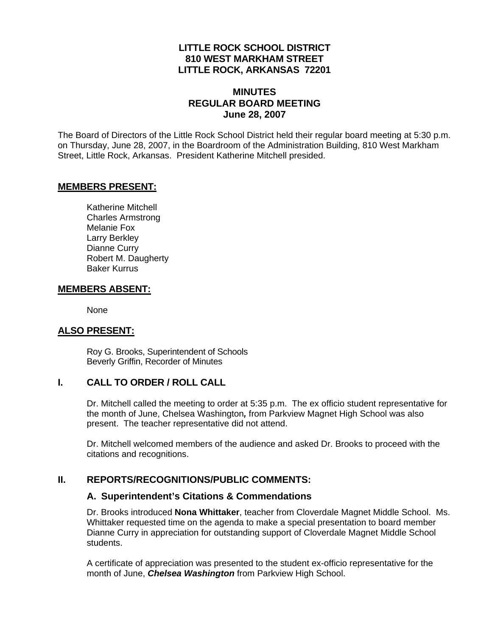### **LITTLE ROCK SCHOOL DISTRICT 810 WEST MARKHAM STREET LITTLE ROCK, ARKANSAS 72201**

#### **MINUTES REGULAR BOARD MEETING June 28, 2007**

The Board of Directors of the Little Rock School District held their regular board meeting at 5:30 p.m. on Thursday, June 28, 2007, in the Boardroom of the Administration Building, 810 West Markham Street, Little Rock, Arkansas. President Katherine Mitchell presided.

#### **MEMBERS PRESENT:**

Katherine Mitchell Charles Armstrong Melanie Fox Larry Berkley Dianne Curry Robert M. Daugherty Baker Kurrus

#### **MEMBERS ABSENT:**

None

### **ALSO PRESENT:**

 Roy G. Brooks, Superintendent of Schools Beverly Griffin, Recorder of Minutes

### **I. CALL TO ORDER / ROLL CALL**

Dr. Mitchell called the meeting to order at 5:35 p.m. The ex officio student representative for the month of June, Chelsea Washington*,* from Parkview Magnet High School was also present. The teacher representative did not attend.

Dr. Mitchell welcomed members of the audience and asked Dr. Brooks to proceed with the citations and recognitions.

#### **II. REPORTS/RECOGNITIONS/PUBLIC COMMENTS:**

#### **A. Superintendent's Citations & Commendations**

Dr. Brooks introduced **Nona Whittaker**, teacher from Cloverdale Magnet Middle School. Ms. Whittaker requested time on the agenda to make a special presentation to board member Dianne Curry in appreciation for outstanding support of Cloverdale Magnet Middle School students.

A certificate of appreciation was presented to the student ex-officio representative for the month of June, *Chelsea Washington* from Parkview High School.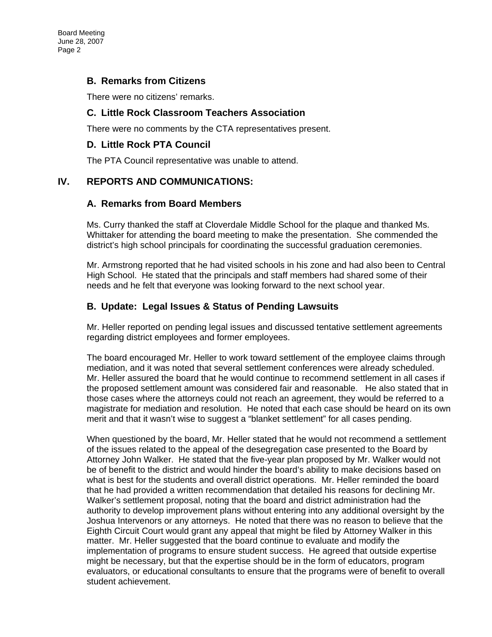### **B. Remarks from Citizens**

There were no citizens' remarks.

#### **C. Little Rock Classroom Teachers Association**

There were no comments by the CTA representatives present.

#### **D. Little Rock PTA Council**

The PTA Council representative was unable to attend.

### **IV. REPORTS AND COMMUNICATIONS:**

#### **A. Remarks from Board Members**

Ms. Curry thanked the staff at Cloverdale Middle School for the plaque and thanked Ms. Whittaker for attending the board meeting to make the presentation. She commended the district's high school principals for coordinating the successful graduation ceremonies.

Mr. Armstrong reported that he had visited schools in his zone and had also been to Central High School. He stated that the principals and staff members had shared some of their needs and he felt that everyone was looking forward to the next school year.

### **B. Update: Legal Issues & Status of Pending Lawsuits**

Mr. Heller reported on pending legal issues and discussed tentative settlement agreements regarding district employees and former employees.

The board encouraged Mr. Heller to work toward settlement of the employee claims through mediation, and it was noted that several settlement conferences were already scheduled. Mr. Heller assured the board that he would continue to recommend settlement in all cases if the proposed settlement amount was considered fair and reasonable. He also stated that in those cases where the attorneys could not reach an agreement, they would be referred to a magistrate for mediation and resolution. He noted that each case should be heard on its own merit and that it wasn't wise to suggest a "blanket settlement" for all cases pending.

When questioned by the board, Mr. Heller stated that he would not recommend a settlement of the issues related to the appeal of the desegregation case presented to the Board by Attorney John Walker. He stated that the five-year plan proposed by Mr. Walker would not be of benefit to the district and would hinder the board's ability to make decisions based on what is best for the students and overall district operations. Mr. Heller reminded the board that he had provided a written recommendation that detailed his reasons for declining Mr. Walker's settlement proposal, noting that the board and district administration had the authority to develop improvement plans without entering into any additional oversight by the Joshua Intervenors or any attorneys. He noted that there was no reason to believe that the Eighth Circuit Court would grant any appeal that might be filed by Attorney Walker in this matter. Mr. Heller suggested that the board continue to evaluate and modify the implementation of programs to ensure student success. He agreed that outside expertise might be necessary, but that the expertise should be in the form of educators, program evaluators, or educational consultants to ensure that the programs were of benefit to overall student achievement.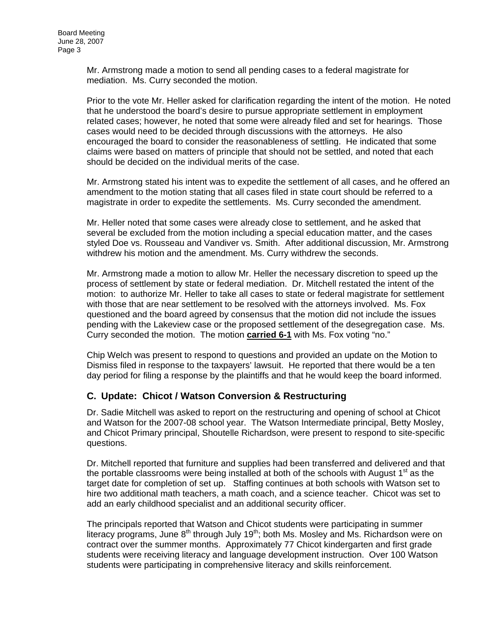Mr. Armstrong made a motion to send all pending cases to a federal magistrate for mediation. Ms. Curry seconded the motion.

Prior to the vote Mr. Heller asked for clarification regarding the intent of the motion. He noted that he understood the board's desire to pursue appropriate settlement in employment related cases; however, he noted that some were already filed and set for hearings. Those cases would need to be decided through discussions with the attorneys. He also encouraged the board to consider the reasonableness of settling. He indicated that some claims were based on matters of principle that should not be settled, and noted that each should be decided on the individual merits of the case.

Mr. Armstrong stated his intent was to expedite the settlement of all cases, and he offered an amendment to the motion stating that all cases filed in state court should be referred to a magistrate in order to expedite the settlements. Ms. Curry seconded the amendment.

Mr. Heller noted that some cases were already close to settlement, and he asked that several be excluded from the motion including a special education matter, and the cases styled Doe vs. Rousseau and Vandiver vs. Smith. After additional discussion, Mr. Armstrong withdrew his motion and the amendment. Ms. Curry withdrew the seconds.

Mr. Armstrong made a motion to allow Mr. Heller the necessary discretion to speed up the process of settlement by state or federal mediation. Dr. Mitchell restated the intent of the motion: to authorize Mr. Heller to take all cases to state or federal magistrate for settlement with those that are near settlement to be resolved with the attorneys involved. Ms. Fox questioned and the board agreed by consensus that the motion did not include the issues pending with the Lakeview case or the proposed settlement of the desegregation case. Ms. Curry seconded the motion. The motion **carried 6-1** with Ms. Fox voting "no."

Chip Welch was present to respond to questions and provided an update on the Motion to Dismiss filed in response to the taxpayers' lawsuit. He reported that there would be a ten day period for filing a response by the plaintiffs and that he would keep the board informed.

### **C. Update: Chicot / Watson Conversion & Restructuring**

Dr. Sadie Mitchell was asked to report on the restructuring and opening of school at Chicot and Watson for the 2007-08 school year. The Watson Intermediate principal, Betty Mosley, and Chicot Primary principal, Shoutelle Richardson, were present to respond to site-specific questions.

Dr. Mitchell reported that furniture and supplies had been transferred and delivered and that the portable classrooms were being installed at both of the schools with August  $1<sup>st</sup>$  as the target date for completion of set up. Staffing continues at both schools with Watson set to hire two additional math teachers, a math coach, and a science teacher. Chicot was set to add an early childhood specialist and an additional security officer.

The principals reported that Watson and Chicot students were participating in summer literacy programs, June  $8<sup>th</sup>$  through July 19<sup>th</sup>; both Ms. Mosley and Ms. Richardson were on contract over the summer months. Approximately 77 Chicot kindergarten and first grade students were receiving literacy and language development instruction. Over 100 Watson students were participating in comprehensive literacy and skills reinforcement.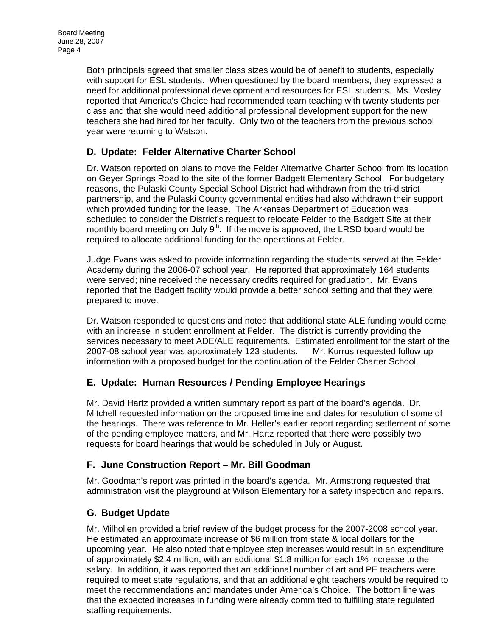Both principals agreed that smaller class sizes would be of benefit to students, especially with support for ESL students. When questioned by the board members, they expressed a need for additional professional development and resources for ESL students. Ms. Mosley reported that America's Choice had recommended team teaching with twenty students per class and that she would need additional professional development support for the new teachers she had hired for her faculty. Only two of the teachers from the previous school year were returning to Watson.

## **D. Update: Felder Alternative Charter School**

Dr. Watson reported on plans to move the Felder Alternative Charter School from its location on Geyer Springs Road to the site of the former Badgett Elementary School. For budgetary reasons, the Pulaski County Special School District had withdrawn from the tri-district partnership, and the Pulaski County governmental entities had also withdrawn their support which provided funding for the lease. The Arkansas Department of Education was scheduled to consider the District's request to relocate Felder to the Badgett Site at their monthly board meeting on July  $9<sup>th</sup>$ . If the move is approved, the LRSD board would be required to allocate additional funding for the operations at Felder.

Judge Evans was asked to provide information regarding the students served at the Felder Academy during the 2006-07 school year. He reported that approximately 164 students were served; nine received the necessary credits required for graduation. Mr. Evans reported that the Badgett facility would provide a better school setting and that they were prepared to move.

Dr. Watson responded to questions and noted that additional state ALE funding would come with an increase in student enrollment at Felder. The district is currently providing the services necessary to meet ADE/ALE requirements. Estimated enrollment for the start of the 2007-08 school year was approximately 123 students. Mr. Kurrus requested follow up information with a proposed budget for the continuation of the Felder Charter School.

### **E. Update: Human Resources / Pending Employee Hearings**

Mr. David Hartz provided a written summary report as part of the board's agenda. Dr. Mitchell requested information on the proposed timeline and dates for resolution of some of the hearings. There was reference to Mr. Heller's earlier report regarding settlement of some of the pending employee matters, and Mr. Hartz reported that there were possibly two requests for board hearings that would be scheduled in July or August.

### **F. June Construction Report – Mr. Bill Goodman**

Mr. Goodman's report was printed in the board's agenda. Mr. Armstrong requested that administration visit the playground at Wilson Elementary for a safety inspection and repairs.

### **G. Budget Update**

Mr. Milhollen provided a brief review of the budget process for the 2007-2008 school year. He estimated an approximate increase of \$6 million from state & local dollars for the upcoming year. He also noted that employee step increases would result in an expenditure of approximately \$2.4 million, with an additional \$1.8 million for each 1% increase to the salary. In addition, it was reported that an additional number of art and PE teachers were required to meet state regulations, and that an additional eight teachers would be required to meet the recommendations and mandates under America's Choice. The bottom line was that the expected increases in funding were already committed to fulfilling state regulated staffing requirements.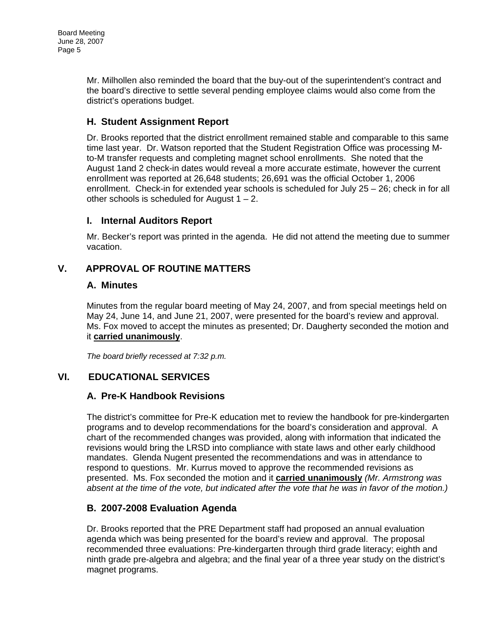Board Meeting June 28, 2007 Page 5

> Mr. Milhollen also reminded the board that the buy-out of the superintendent's contract and the board's directive to settle several pending employee claims would also come from the district's operations budget.

### **H. Student Assignment Report**

Dr. Brooks reported that the district enrollment remained stable and comparable to this same time last year. Dr. Watson reported that the Student Registration Office was processing Mto-M transfer requests and completing magnet school enrollments. She noted that the August 1and 2 check-in dates would reveal a more accurate estimate, however the current enrollment was reported at 26,648 students; 26,691 was the official October 1, 2006 enrollment. Check-in for extended year schools is scheduled for July 25 – 26; check in for all other schools is scheduled for August  $1 - 2$ .

### **I. Internal Auditors Report**

Mr. Becker's report was printed in the agenda. He did not attend the meeting due to summer vacation.

## **V. APPROVAL OF ROUTINE MATTERS**

### **A. Minutes**

Minutes from the regular board meeting of May 24, 2007, and from special meetings held on May 24, June 14, and June 21, 2007, were presented for the board's review and approval. Ms. Fox moved to accept the minutes as presented; Dr. Daugherty seconded the motion and it **carried unanimously**.

*The board briefly recessed at 7:32 p.m.* 

## **VI. EDUCATIONAL SERVICES**

### **A. Pre-K Handbook Revisions**

The district's committee for Pre-K education met to review the handbook for pre-kindergarten programs and to develop recommendations for the board's consideration and approval. A chart of the recommended changes was provided, along with information that indicated the revisions would bring the LRSD into compliance with state laws and other early childhood mandates. Glenda Nugent presented the recommendations and was in attendance to respond to questions. Mr. Kurrus moved to approve the recommended revisions as presented. Ms. Fox seconded the motion and it **carried unanimously** *(Mr. Armstrong was*  absent at the time of the vote, but indicated after the vote that he was in favor of the motion.)

## **B. 2007-2008 Evaluation Agenda**

Dr. Brooks reported that the PRE Department staff had proposed an annual evaluation agenda which was being presented for the board's review and approval. The proposal recommended three evaluations: Pre-kindergarten through third grade literacy; eighth and ninth grade pre-algebra and algebra; and the final year of a three year study on the district's magnet programs.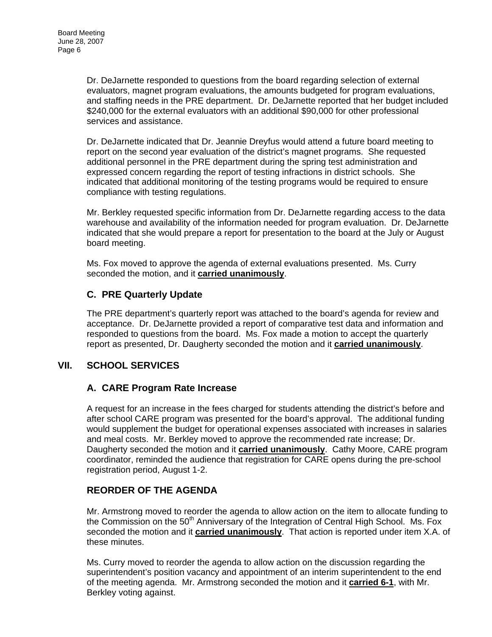Dr. DeJarnette responded to questions from the board regarding selection of external evaluators, magnet program evaluations, the amounts budgeted for program evaluations, and staffing needs in the PRE department. Dr. DeJarnette reported that her budget included \$240,000 for the external evaluators with an additional \$90,000 for other professional services and assistance.

Dr. DeJarnette indicated that Dr. Jeannie Dreyfus would attend a future board meeting to report on the second year evaluation of the district's magnet programs. She requested additional personnel in the PRE department during the spring test administration and expressed concern regarding the report of testing infractions in district schools. She indicated that additional monitoring of the testing programs would be required to ensure compliance with testing regulations.

Mr. Berkley requested specific information from Dr. DeJarnette regarding access to the data warehouse and availability of the information needed for program evaluation. Dr. DeJarnette indicated that she would prepare a report for presentation to the board at the July or August board meeting.

Ms. Fox moved to approve the agenda of external evaluations presented. Ms. Curry seconded the motion, and it **carried unanimously**.

## **C. PRE Quarterly Update**

The PRE department's quarterly report was attached to the board's agenda for review and acceptance. Dr. DeJarnette provided a report of comparative test data and information and responded to questions from the board. Ms. Fox made a motion to accept the quarterly report as presented, Dr. Daugherty seconded the motion and it **carried unanimously**.

## **VII. SCHOOL SERVICES**

### **A. CARE Program Rate Increase**

A request for an increase in the fees charged for students attending the district's before and after school CARE program was presented for the board's approval. The additional funding would supplement the budget for operational expenses associated with increases in salaries and meal costs. Mr. Berkley moved to approve the recommended rate increase; Dr. Daugherty seconded the motion and it **carried unanimously**. Cathy Moore, CARE program coordinator, reminded the audience that registration for CARE opens during the pre-school registration period, August 1-2.

## **REORDER OF THE AGENDA**

Mr. Armstrong moved to reorder the agenda to allow action on the item to allocate funding to the Commission on the 50<sup>th</sup> Anniversary of the Integration of Central High School. Ms. Fox seconded the motion and it **carried unanimously**. That action is reported under item X.A. of these minutes.

Ms. Curry moved to reorder the agenda to allow action on the discussion regarding the superintendent's position vacancy and appointment of an interim superintendent to the end of the meeting agenda. Mr. Armstrong seconded the motion and it **carried 6-1**, with Mr. Berkley voting against.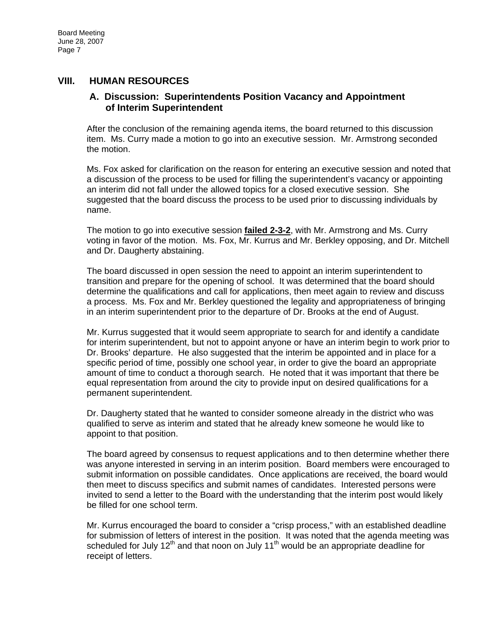#### **VIII. HUMAN RESOURCES**

#### **A. Discussion: Superintendents Position Vacancy and Appointment of Interim Superintendent**

After the conclusion of the remaining agenda items, the board returned to this discussion item. Ms. Curry made a motion to go into an executive session. Mr. Armstrong seconded the motion.

Ms. Fox asked for clarification on the reason for entering an executive session and noted that a discussion of the process to be used for filling the superintendent's vacancy or appointing an interim did not fall under the allowed topics for a closed executive session. She suggested that the board discuss the process to be used prior to discussing individuals by name.

The motion to go into executive session **failed 2-3-2**, with Mr. Armstrong and Ms. Curry voting in favor of the motion. Ms. Fox, Mr. Kurrus and Mr. Berkley opposing, and Dr. Mitchell and Dr. Daugherty abstaining.

The board discussed in open session the need to appoint an interim superintendent to transition and prepare for the opening of school. It was determined that the board should determine the qualifications and call for applications, then meet again to review and discuss a process. Ms. Fox and Mr. Berkley questioned the legality and appropriateness of bringing in an interim superintendent prior to the departure of Dr. Brooks at the end of August.

Mr. Kurrus suggested that it would seem appropriate to search for and identify a candidate for interim superintendent, but not to appoint anyone or have an interim begin to work prior to Dr. Brooks' departure. He also suggested that the interim be appointed and in place for a specific period of time, possibly one school year, in order to give the board an appropriate amount of time to conduct a thorough search. He noted that it was important that there be equal representation from around the city to provide input on desired qualifications for a permanent superintendent.

Dr. Daugherty stated that he wanted to consider someone already in the district who was qualified to serve as interim and stated that he already knew someone he would like to appoint to that position.

The board agreed by consensus to request applications and to then determine whether there was anyone interested in serving in an interim position. Board members were encouraged to submit information on possible candidates. Once applications are received, the board would then meet to discuss specifics and submit names of candidates. Interested persons were invited to send a letter to the Board with the understanding that the interim post would likely be filled for one school term.

Mr. Kurrus encouraged the board to consider a "crisp process," with an established deadline for submission of letters of interest in the position. It was noted that the agenda meeting was scheduled for July 12<sup>th</sup> and that noon on July 11<sup>th</sup> would be an appropriate deadline for receipt of letters.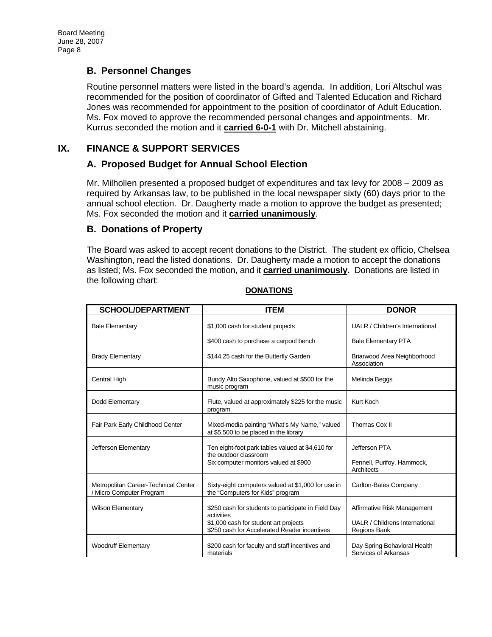### **B. Personnel Changes**

Routine personnel matters were listed in the board's agenda. In addition, Lori Altschul was recommended for the position of coordinator of Gifted and Talented Education and Richard Jones was recommended for appointment to the position of coordinator of Adult Education. Ms. Fox moved to approve the recommended personal changes and appointments. Mr. Kurrus seconded the motion and it **carried 6-0-1** with Dr. Mitchell abstaining.

### **IX. FINANCE & SUPPORT SERVICES**

### **A. Proposed Budget for Annual School Election**

Mr. Milhollen presented a proposed budget of expenditures and tax levy for 2008 – 2009 as required by Arkansas law, to be published in the local newspaper sixty (60) days prior to the annual school election. Dr. Daugherty made a motion to approve the budget as presented; Ms. Fox seconded the motion and it **carried unanimously**.

#### **B. Donations of Property**

The Board was asked to accept recent donations to the District. The student ex officio, Chelsea Washington, read the listed donations. Dr. Daugherty made a motion to accept the donations as listed; Ms. Fox seconded the motion, and it **carried unanimously.** Donations are listed in the following chart:

| <b>SCHOOL/DEPARTMENT</b>                                       | <b>ITEM</b>                                                                             | <b>DONOR</b>                                          |
|----------------------------------------------------------------|-----------------------------------------------------------------------------------------|-------------------------------------------------------|
| <b>Bale Elementary</b>                                         | \$1,000 cash for student projects                                                       | UALR / Children's International                       |
|                                                                | \$400 cash to purchase a carpool bench                                                  | <b>Bale Elementary PTA</b>                            |
| <b>Brady Elementary</b>                                        | \$144.25 cash for the Butterfly Garden                                                  | Briarwood Area Neighborhood<br>Association            |
| <b>Central High</b>                                            | Bundy Alto Saxophone, valued at \$500 for the<br>music program                          | Melinda Beggs                                         |
| Dodd Elementary                                                | Flute, valued at approximately \$225 for the music<br>program                           | Kurt Koch                                             |
| Fair Park Early Childhood Center                               | Mixed-media painting "What's My Name," valued<br>at \$5,500 to be placed in the library | Thomas Cox II                                         |
| Jefferson Elementary                                           | Ten eight-foot park tables valued at \$4,610 for<br>the outdoor classroom               | Jefferson PTA                                         |
|                                                                | Six computer monitors valued at \$900                                                   | Fennell, Purifoy, Hammock,<br>Architects              |
| Metropolitan Career-Technical Center<br>Micro Computer Program | Sixty-eight computers valued at \$1,000 for use in<br>the "Computers for Kids" program  | Carlton-Bates Company                                 |
| <b>Wilson Elementary</b>                                       | \$250 cash for students to participate in Field Day<br>activities                       | Affirmative Risk Management                           |
|                                                                | \$1,000 cash for student art projects<br>\$250 cash for Accelerated Reader incentives   | UALR / Childrens International<br><b>Regions Bank</b> |
| <b>Woodruff Elementary</b>                                     | \$200 cash for faculty and staff incentives and<br>materials                            | Day Spring Behavioral Health<br>Services of Arkansas  |

**DONATIONS**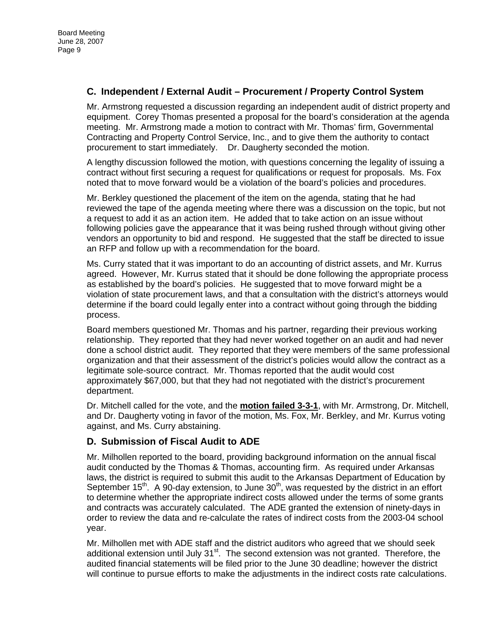### **C. Independent / External Audit – Procurement / Property Control System**

Mr. Armstrong requested a discussion regarding an independent audit of district property and equipment. Corey Thomas presented a proposal for the board's consideration at the agenda meeting. Mr. Armstrong made a motion to contract with Mr. Thomas' firm, Governmental Contracting and Property Control Service, Inc., and to give them the authority to contact procurement to start immediately. Dr. Daugherty seconded the motion.

A lengthy discussion followed the motion, with questions concerning the legality of issuing a contract without first securing a request for qualifications or request for proposals. Ms. Fox noted that to move forward would be a violation of the board's policies and procedures.

Mr. Berkley questioned the placement of the item on the agenda, stating that he had reviewed the tape of the agenda meeting where there was a discussion on the topic, but not a request to add it as an action item. He added that to take action on an issue without following policies gave the appearance that it was being rushed through without giving other vendors an opportunity to bid and respond. He suggested that the staff be directed to issue an RFP and follow up with a recommendation for the board.

Ms. Curry stated that it was important to do an accounting of district assets, and Mr. Kurrus agreed. However, Mr. Kurrus stated that it should be done following the appropriate process as established by the board's policies. He suggested that to move forward might be a violation of state procurement laws, and that a consultation with the district's attorneys would determine if the board could legally enter into a contract without going through the bidding process.

Board members questioned Mr. Thomas and his partner, regarding their previous working relationship. They reported that they had never worked together on an audit and had never done a school district audit. They reported that they were members of the same professional organization and that their assessment of the district's policies would allow the contract as a legitimate sole-source contract. Mr. Thomas reported that the audit would cost approximately \$67,000, but that they had not negotiated with the district's procurement department.

Dr. Mitchell called for the vote, and the **motion failed 3-3-1**, with Mr. Armstrong, Dr. Mitchell, and Dr. Daugherty voting in favor of the motion, Ms. Fox, Mr. Berkley, and Mr. Kurrus voting against, and Ms. Curry abstaining.

## **D. Submission of Fiscal Audit to ADE**

Mr. Milhollen reported to the board, providing background information on the annual fiscal audit conducted by the Thomas & Thomas, accounting firm. As required under Arkansas laws, the district is required to submit this audit to the Arkansas Department of Education by September 15<sup>th</sup>. A 90-day extension, to June  $30<sup>th</sup>$ , was requested by the district in an effort to determine whether the appropriate indirect costs allowed under the terms of some grants and contracts was accurately calculated. The ADE granted the extension of ninety-days in order to review the data and re-calculate the rates of indirect costs from the 2003-04 school year.

Mr. Milhollen met with ADE staff and the district auditors who agreed that we should seek additional extension until July  $31<sup>st</sup>$ . The second extension was not granted. Therefore, the audited financial statements will be filed prior to the June 30 deadline; however the district will continue to pursue efforts to make the adjustments in the indirect costs rate calculations.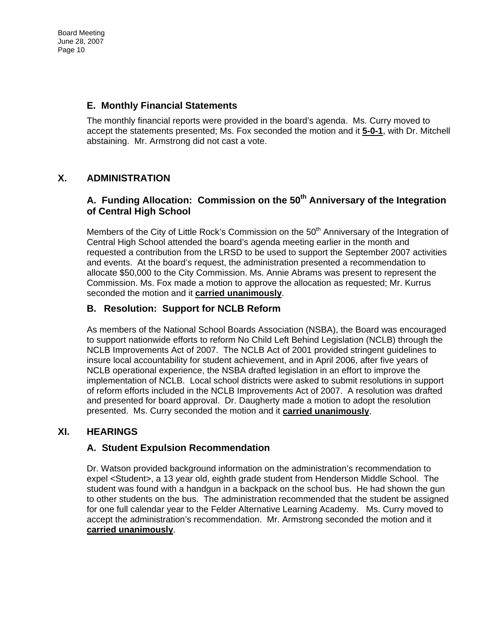Board Meeting June 28, 2007 Page 10

### **E. Monthly Financial Statements**

The monthly financial reports were provided in the board's agenda. Ms. Curry moved to accept the statements presented; Ms. Fox seconded the motion and it **5-0-1**, with Dr. Mitchell abstaining. Mr. Armstrong did not cast a vote.

### **X. ADMINISTRATION**

## A. Funding Allocation: Commission on the 50<sup>th</sup> Anniversary of the Integration **of Central High School**

Members of the City of Little Rock's Commission on the  $50<sup>th</sup>$  Anniversary of the Integration of Central High School attended the board's agenda meeting earlier in the month and requested a contribution from the LRSD to be used to support the September 2007 activities and events. At the board's request, the administration presented a recommendation to allocate \$50,000 to the City Commission. Ms. Annie Abrams was present to represent the Commission. Ms. Fox made a motion to approve the allocation as requested; Mr. Kurrus seconded the motion and it **carried unanimously**.

### **B. Resolution: Support for NCLB Reform**

As members of the National School Boards Association (NSBA), the Board was encouraged to support nationwide efforts to reform No Child Left Behind Legislation (NCLB) through the NCLB Improvements Act of 2007. The NCLB Act of 2001 provided stringent guidelines to insure local accountability for student achievement, and in April 2006, after five years of NCLB operational experience, the NSBA drafted legislation in an effort to improve the implementation of NCLB. Local school districts were asked to submit resolutions in support of reform efforts included in the NCLB Improvements Act of 2007. A resolution was drafted and presented for board approval. Dr. Daugherty made a motion to adopt the resolution presented. Ms. Curry seconded the motion and it **carried unanimously**.

### **XI. HEARINGS**

### **A. Student Expulsion Recommendation**

Dr. Watson provided background information on the administration's recommendation to expel <Student>, a 13 year old, eighth grade student from Henderson Middle School. The student was found with a handgun in a backpack on the school bus. He had shown the gun to other students on the bus. The administration recommended that the student be assigned for one full calendar year to the Felder Alternative Learning Academy. Ms. Curry moved to accept the administration's recommendation. Mr. Armstrong seconded the motion and it **carried unanimously**.